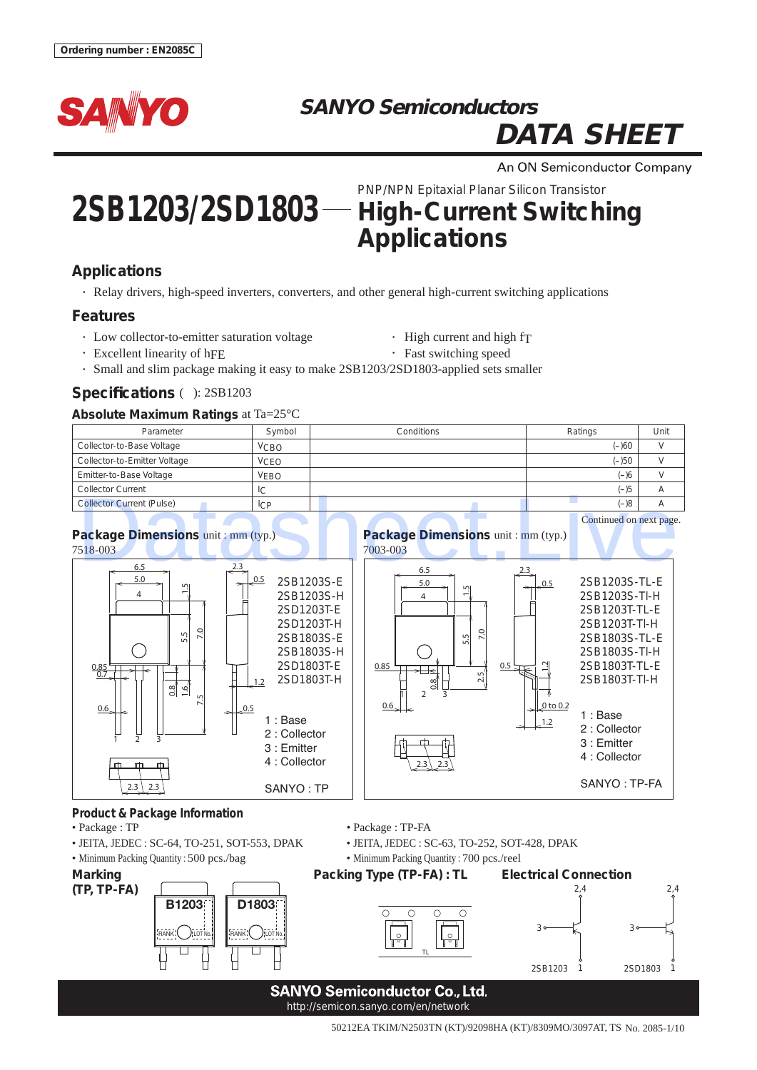

## **SANYO Semiconductors DATA SHEET**

An ON Semiconductor Company

# **2SB1203/2SD1803** PNP/NPN Epitaxial Planar Silicon Transistor **High-Current Switching Applications**

### **Applications**

• Relay drivers, high-speed inverters, converters, and other general high-current switching applications

#### **Features**

- Low collector-to-emitter saturation voltage High current and high f $T$ 
	-
- Excellent linearity of hFE Fast switching speed
- Small and slim package making it easy to make 2SB1203/2SD1803-applied sets smaller

#### **Specifications ( ): 2SB1203**

#### **Absolute Maximum Ratings** at Ta=25°C

| ີ                                |                |            |         |      |
|----------------------------------|----------------|------------|---------|------|
| Parameter                        | Symbol         | Conditions | Ratings | Unit |
| Collector-to-Base Voltage        | <b>VCBO</b>    |            | $(-)60$ |      |
| Collector-to-Emitter Voltage     | <b>VCEO</b>    |            | $(-)50$ |      |
| Emitter-to-Base Voltage          | <b>VEBO</b>    |            | $(-)6$  |      |
| <b>Collector Current</b>         | IС             |            | $(-)5$  |      |
| <b>Collector Current (Pulse)</b> | <sub>ICP</sub> |            | $8(-)$  |      |



- 
- 
- Minimum Packing Quantity : 500 pcs./bag Minimum Packing Quantity : 700 pcs./reel

**(TP, TP-FA)**



• Package : TP • Package : TP-FA

• JEITA, JEDEC : SC-64, TO-251, SOT-553, DPAK • JEITA, JEDEC : SC-63, TO-252, SOT-428, DPAK



#### **SANYO Semiconductor Co., Ltd.** http://semicon.sanyo.com/en/network

50212EA TKIM/N2503TN (KT)/92098HA (KT)/8309MO/3097AT, TS No. 2085-1/10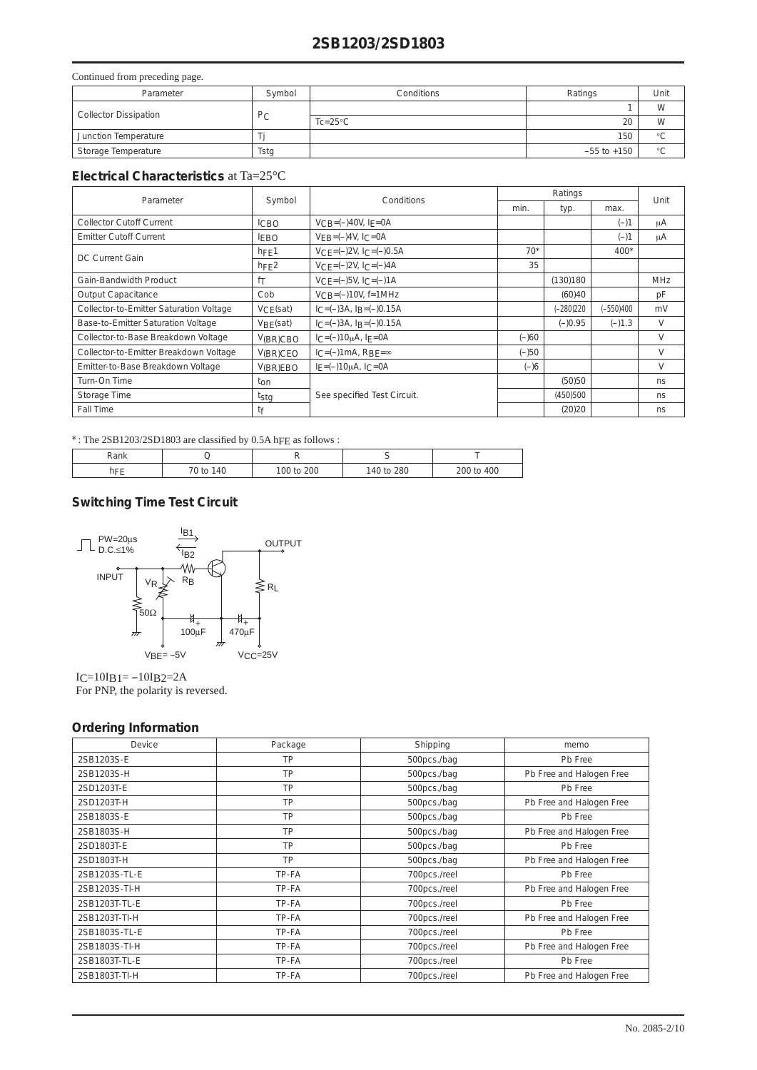#### **2SB1203/2SD1803**

#### Continued from preceding page.

| Parameter                    | Symbol      | Conditions         | Ratings         | Unit         |
|------------------------------|-------------|--------------------|-----------------|--------------|
| <b>Collector Dissipation</b> |             |                    |                 | W            |
|                              | $P_{\rm C}$ | $Tc = 25^{\circ}C$ | 20              | W            |
| Junction Temperature         |             |                    | 150             | $\circ$      |
| Storage Temperature          | Tstg        |                    | $-55$ to $+150$ | $\circ$<br>◡ |

#### **Electrical Characteristics** at Ta=25°C

| Parameter                                           |                 | Symbol<br>Conditions               |         | Ratings   |           |        |
|-----------------------------------------------------|-----------------|------------------------------------|---------|-----------|-----------|--------|
|                                                     |                 |                                    | min.    | typ.      | max.      | Unit   |
| <b>Collector Cutoff Current</b>                     | <b>ICBO</b>     | $VCB = (-)40V, IE = 0A$            |         |           | $(-)1$    | μA     |
| <b>Emitter Cutoff Current</b>                       | <b>FBO</b>      | $VFR = (-)4V, I_C = 0A$            |         |           | $(-)1$    | μA     |
| <b>DC Current Gain</b>                              | $h$ FE1         | $VCF = (-2V, ICF = (-)0.5A)$       | $70*$   |           | $400*$    |        |
|                                                     | hFE2            | $VCF = (-)2V$ , $ICF = (-)4A$      | 35      |           |           |        |
| Gain-Bandwidth Product                              | fT              | $VCF = (-)5V, IC = (-)1A$          |         | (130)180  |           | MHz    |
| <b>Output Capacitance</b>                           | Cob             | $V_{CB} = (-10V, f = 1MHz)$        |         | (60)40    |           | pF     |
| Collector-to-Emitter Saturation Voltage<br>VCE(sat) |                 | $I_C = (-)3A$ , $I_B = (-)0.15A$   |         | (-280)220 | (-550)400 | mV     |
| Base-to-Emitter Saturation Voltage                  | VBF(sat)        | $I_C = (-)3A$ , $I_B = (-)0.15A$   |         | $(-)0.95$ | $(-)1.3$  | V      |
| Collector-to-Base Breakdown Voltage                 | V(BR)CBO        | $IC = (-10\mu A, IE = 0A)$         | $(-)60$ |           |           | $\vee$ |
| Collector-to-Emitter Breakdown Voltage              | $V(BR)$ CEO     | $I_C = (-1)$ mA, $R_{BF} = \infty$ | $(-)50$ |           |           | V      |
| Emitter-to-Base Breakdown Voltage                   | V(BR)EBO        | $I_F = (-10 \mu A, I_C = 0A)$      | $(-)6$  |           |           | V      |
| Turn-On Time                                        | t <sub>on</sub> |                                    |         | (50)50    |           | ns     |
| Storage Time                                        | tstg            | See specified Test Circuit.        |         | (450)500  |           | ns.    |
| Fall Time                                           | tf              |                                    |         | (20)20    |           | ns     |

 $*$ : The 2SB1203/2SD1803 are classified by 0.5A hFE as follows :

| Rank      |           |                     |              |     |
|-----------|-----------|---------------------|--------------|-----|
| $-$<br>₫Ŀ | 70 to 140 | 200<br>$\mathsf{t}$ | 280<br>1101n | 400 |

#### **Switching Time Test Circuit**



 $I = 10I_B1 = -10I_B2 = 2A$ For PNP, the polarity is reversed.

#### **Ordering Information**

| Device        | Package | Shipping     | memo                     |
|---------------|---------|--------------|--------------------------|
| 2SB1203S-E    | TP      | 500pcs./bag  | Pb Free                  |
| 2SB1203S-H    | TP      | 500pcs./bag  | Pb Free and Halogen Free |
| 2SD1203T-E    | TP      | 500pcs./bag  | Pb Free                  |
| 2SD1203T-H    | TP      | 500pcs./bag  | Pb Free and Halogen Free |
| 2SB1803S-E    | TP      | 500pcs./bag  | Pb Free                  |
| 2SB1803S-H    | TP      | 500pcs./bag  | Pb Free and Halogen Free |
| 2SD1803T-E    | TP      | 500pcs./bag  | Pb Free                  |
| 2SD1803T-H    | TP      | 500pcs./bag  | Pb Free and Halogen Free |
| 2SB1203S-TL-E | TP-FA   | 700pcs./reel | Pb Free                  |
| 2SB1203S-TI-H | TP-FA   | 700pcs./reel | Pb Free and Halogen Free |
| 2SB1203T-TL-E | TP-FA   | 700pcs./reel | Pb Free                  |
| 2SB1203T-TI-H | TP-FA   | 700pcs./reel | Pb Free and Halogen Free |
| 2SB1803S-TL-E | TP-FA   | 700pcs./reel | Pb Free                  |
| 2SB1803S-TI-H | TP-FA   | 700pcs./reel | Pb Free and Halogen Free |
| 2SB1803T-TL-E | TP-FA   | 700pcs./reel | Pb Free                  |
| 2SB1803T-TI-H | TP-FA   | 700pcs./reel | Pb Free and Halogen Free |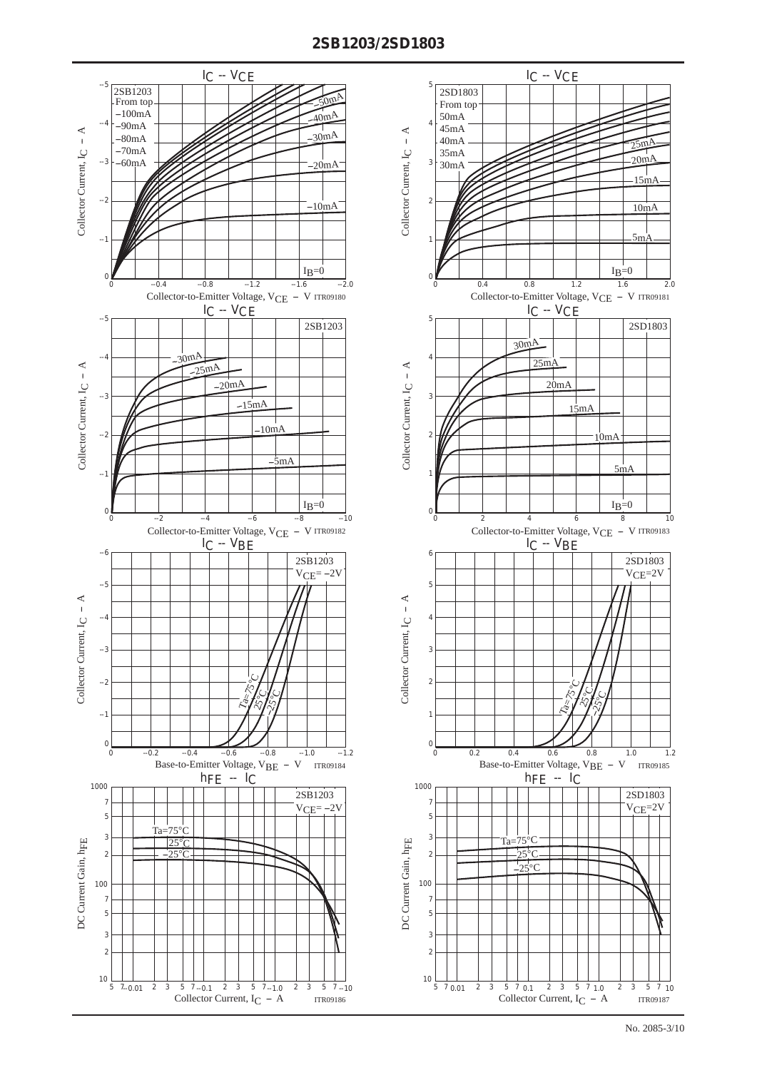#### **2SB1203/2SD1803**



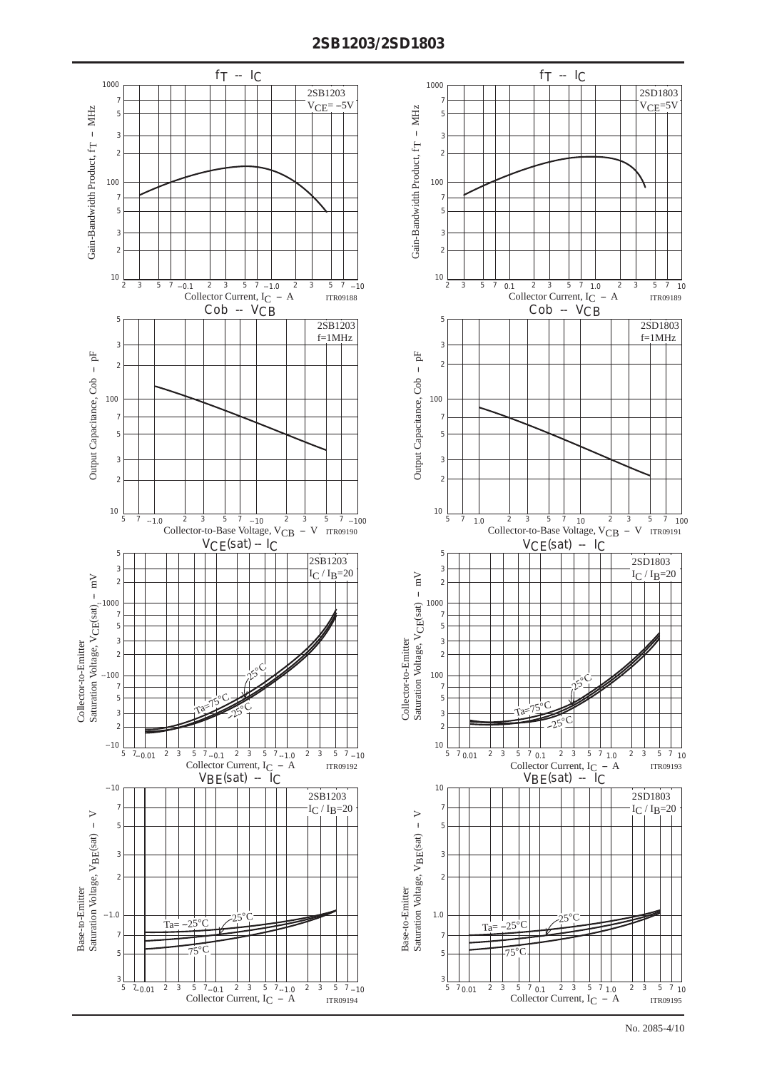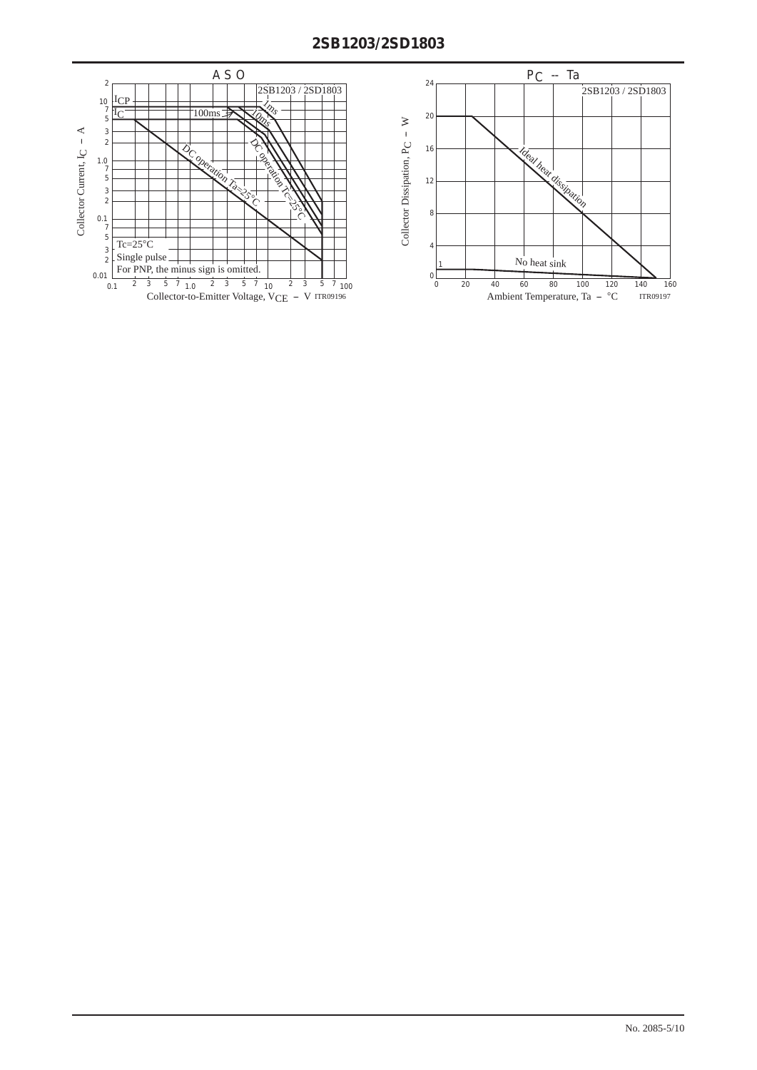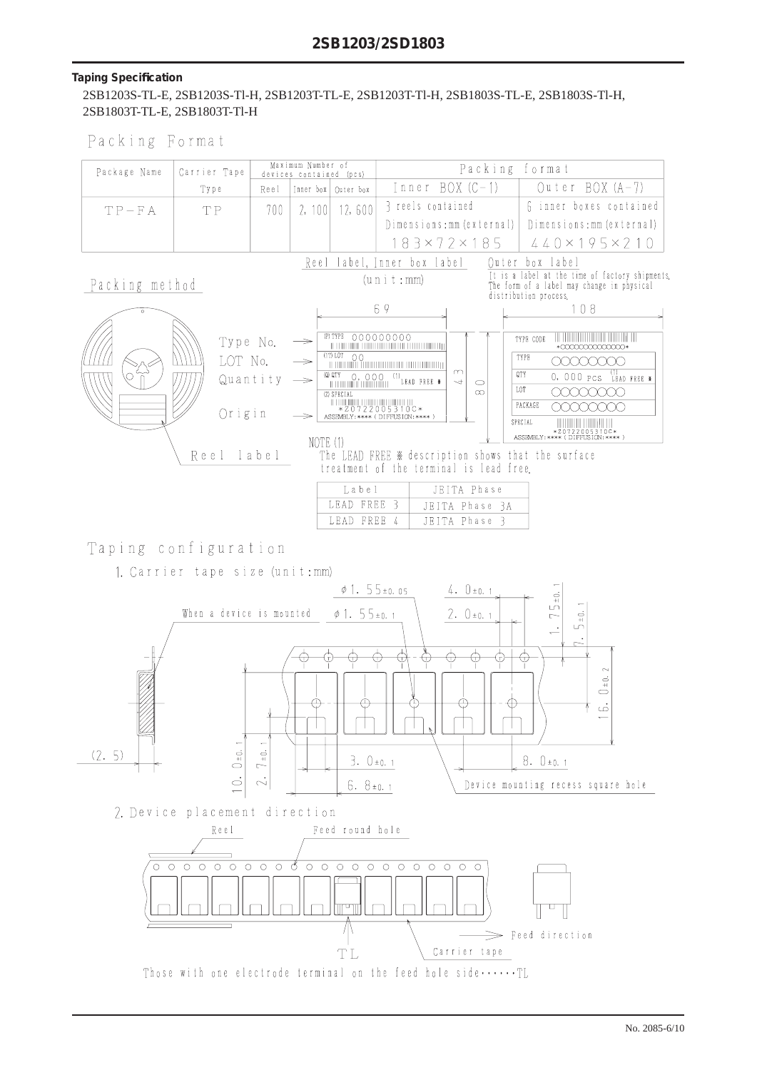#### **Taping Specifi cation**

 2SB1203S-TL-E, 2SB1203S-Tl-H, 2SB1203T-TL-E, 2SB1203T-Tl-H, 2SB1803S-TL-E, 2SB1803S-Tl-H, 2SB1803T-TL-E, 2SB1803T-Tl-H

|  |  |  |  |  | Packing Format |  |
|--|--|--|--|--|----------------|--|
|--|--|--|--|--|----------------|--|

| Package Name   | Carrier Tape                                |          | Maximum Number of<br>devices contained (pcs)                |                                                                            | Packing format                                                                                                                                                                                                                                                                                                                                                                                                                                                                                                                                                                                                                                                                                                                                                              |
|----------------|---------------------------------------------|----------|-------------------------------------------------------------|----------------------------------------------------------------------------|-----------------------------------------------------------------------------------------------------------------------------------------------------------------------------------------------------------------------------------------------------------------------------------------------------------------------------------------------------------------------------------------------------------------------------------------------------------------------------------------------------------------------------------------------------------------------------------------------------------------------------------------------------------------------------------------------------------------------------------------------------------------------------|
|                | Type                                        | Reel     |                                                             | Inner box   Outer box                                                      | $Outer BOX (A-7)$<br>$Inner BOX (C-1)$                                                                                                                                                                                                                                                                                                                                                                                                                                                                                                                                                                                                                                                                                                                                      |
| $TP-FA$        | TP.                                         | 700      | 2, 100                                                      | 12,600                                                                     | 6 inner boxes contained<br>3 reels contained                                                                                                                                                                                                                                                                                                                                                                                                                                                                                                                                                                                                                                                                                                                                |
|                |                                             |          |                                                             |                                                                            | Dimensions: mm (external)  <br>Dimensions:mm (external)                                                                                                                                                                                                                                                                                                                                                                                                                                                                                                                                                                                                                                                                                                                     |
|                |                                             |          |                                                             |                                                                            | 183×72×185<br>$440 \times 195 \times 210$                                                                                                                                                                                                                                                                                                                                                                                                                                                                                                                                                                                                                                                                                                                                   |
| Packing method | Type No.<br>LOT No.<br>Origin<br>Reel label | Quantity | $\rightarrow$<br>$\rightarrow$<br>$\rightarrow$<br>NOTE (1) | (P) TYPE 000000000<br>(Q) QTY<br>(Z) SPECIAL<br>Label<br>LEAD<br>LEAD FREE | Reel label, Inner box label<br>Quter box label<br>It is a label at the time of factory shipments<br>(u n i t : mm)<br>The form of a label may change in physical<br>distribution process.<br>69<br>108<br>TYPE CODE<br>,,,,,,,,,,,,,,,,,,<br>TE TERMINE TERMINE ENTERTA DELL'UNIONE DELL'UNIONE DELL'UNIONE DELL'UNIONE DELL'UNIONE DELL'UNIONE DELL'UNIONE<br>*000000000000000<br>TYPE<br>(XXXXXXX)<br>$\infty$<br>$0.000$ PCS LEAD FREE *<br>QTY<br>$\overline{ }$<br>$\bigcirc$<br>LOT<br>ന<br>PACKAGE<br>ASSEMBLY: **** (DIFFUSION: **** )<br>SPECIAL<br>*20722005310C*<br>ASSEMBLY:**** (DIFFUSION:**** )<br>The LEAD FREE * description shows that the surface<br>treatment of the terminal is lead free.<br>JEITA Phase<br>FREE 3<br>JEITA Phase 3A<br>JEITA Phase 3 |

### Taping configuration

1. Carrier tape size (unit:mm)

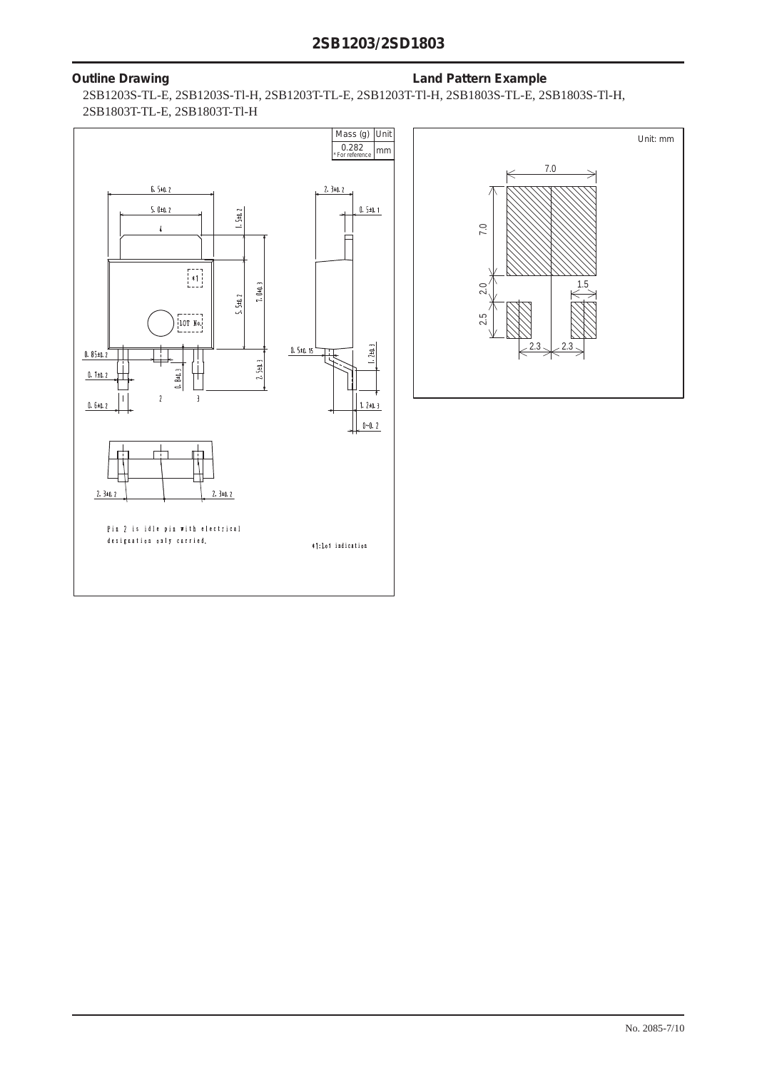#### **Outline Drawing Community Community Community Community Community Community Community Community Community Community Community Community Community Community Community Community Community Community Community Community Commu**

 2SB1203S-TL-E, 2SB1203S-Tl-H, 2SB1203T-TL-E, 2SB1203T-Tl-H, 2SB1803S-TL-E, 2SB1803S-Tl-H, 2SB1803T-TL-E, 2SB1803T-Tl-H

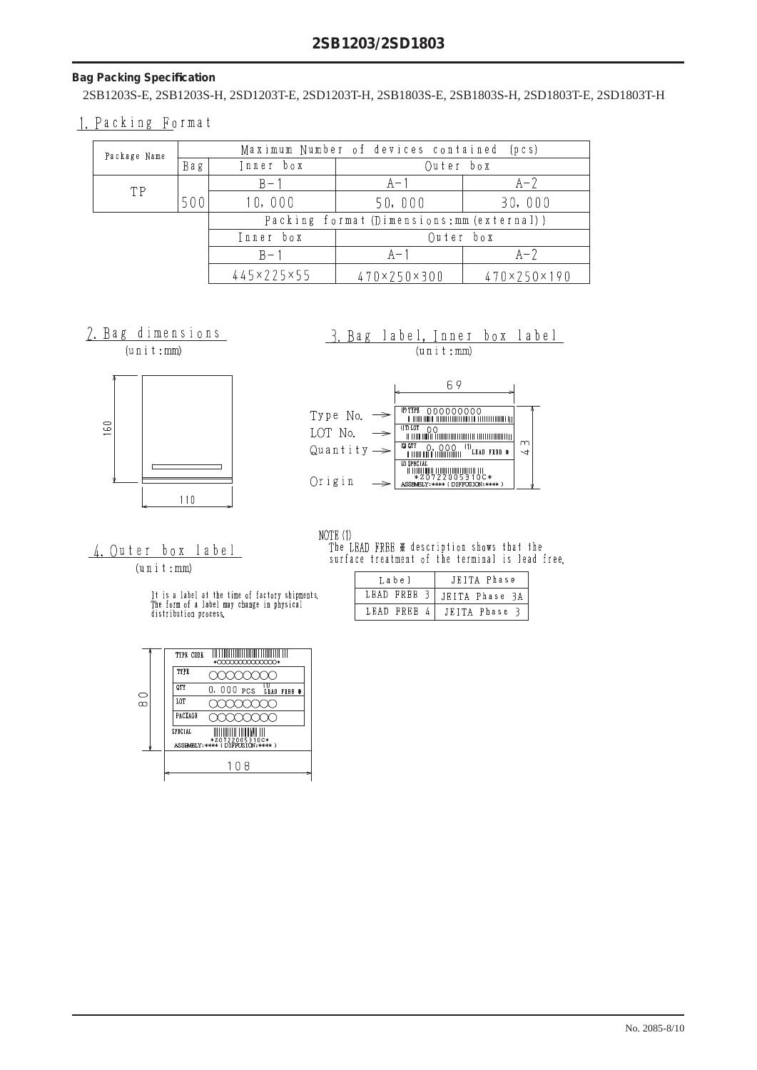#### **Bag Packing Specification**

2SB1203S-E, 2SB1203S-H, 2SD1203T-E, 2SD1203T-H, 2SB1803S-E, 2SB1803S-H, 2SD1803T-E, 2SD1803T-H

#### 1. Packing Format

| Package Name |     |                                            | Maximum Number of devices contained (pcs) |             |  |
|--------------|-----|--------------------------------------------|-------------------------------------------|-------------|--|
| <b>Bag</b>   |     | Inner box                                  | Outer box                                 |             |  |
| TP           |     | $B - 1$                                    | $A - 1$                                   | $A-7$       |  |
|              | 500 | 10,000                                     | 50,000                                    | 30,000      |  |
|              |     | Packing format (Dimensions: mm (external)) |                                           |             |  |
|              |     | Inner box                                  | Outer box                                 |             |  |
|              |     | $B - 1$                                    | $A -$                                     | $A-7$       |  |
|              |     | 445×225×55                                 | 470×250×300                               | 470×250×190 |  |

2. Bag dimensions





#### 3. Bag label, Inner box label  $(u n i t : mm)$

| Type No.                   | (P) TYPE                                                           |   |
|----------------------------|--------------------------------------------------------------------|---|
| LOT No.                    | (IT) LOT                                                           |   |
| Quantity $\Longrightarrow$ | (Q) QTY<br>. <sup>(1)</sup> LEAD FREE<br>0,000                     | m |
| Origin                     | (Z) SPECIAL<br>*Z0722005310C*<br>ASSEMBLY: **** (DIFFUSION: **** ) |   |

# 4. Outer box label

 $(u n i t : mm)$ 

It is a label at the time of factory shipments.<br>The form of a label may change in physical<br>distribution process.

| NOTE (1) |  |                                                 |  |
|----------|--|-------------------------------------------------|--|
|          |  | The LEAD FREE ※ description shows that the      |  |
|          |  | surface treatment of the terminal is lead free. |  |

| Label |           |  | JEITA Phase                  |
|-------|-----------|--|------------------------------|
|       |           |  | LEAD FREE 3   JEITA Phase 3A |
|       | LEAD FREE |  | JEITA Phase 3                |

|   | TYPE CODE<br>*00000000000000*             |
|---|-------------------------------------------|
|   | TYPE                                      |
| ≘ | QTY<br>0,000 pcs<br>LÉAD<br><b>FREE #</b> |
| œ | LOT                                       |
|   | PACKAGE                                   |
|   | SPECIAL<br>*Z0722005310C*                 |
|   | ASSEMBLY: **** (DIFFUSION: **** )         |
|   | -8                                        |
|   |                                           |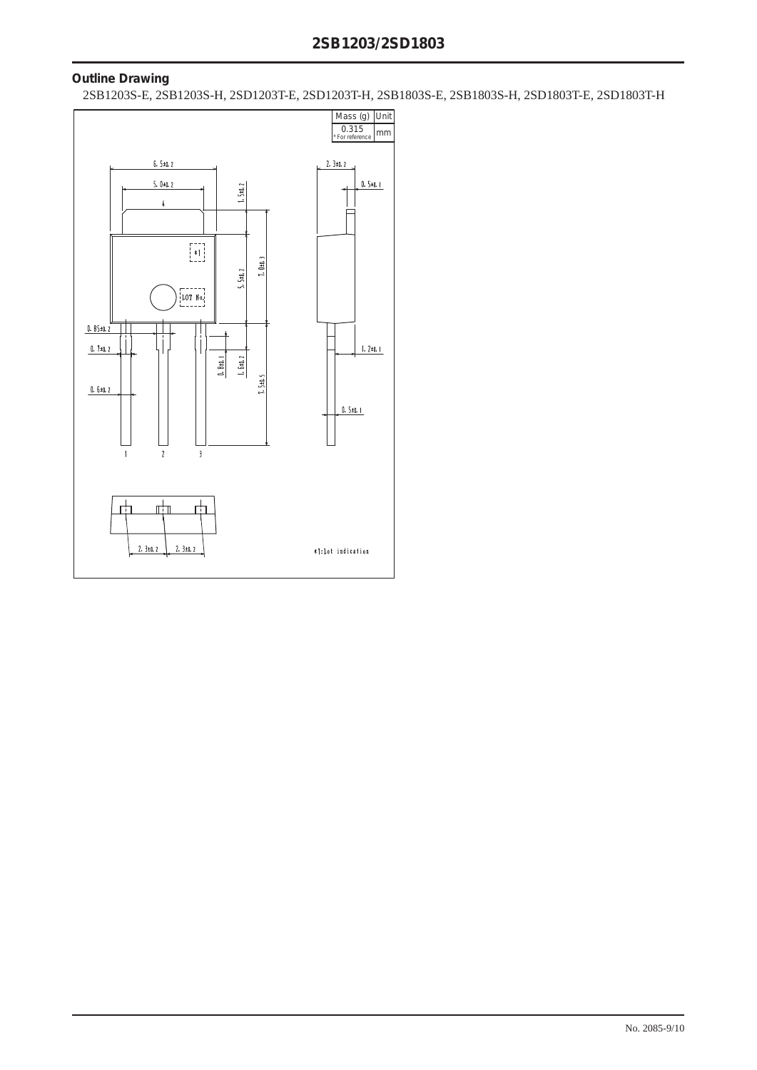#### **Outline Drawing**

2SB1203S-E, 2SB1203S-H, 2SD1203T-E, 2SD1203T-H, 2SB1803S-E, 2SB1803S-H, 2SD1803T-E, 2SD1803T-H